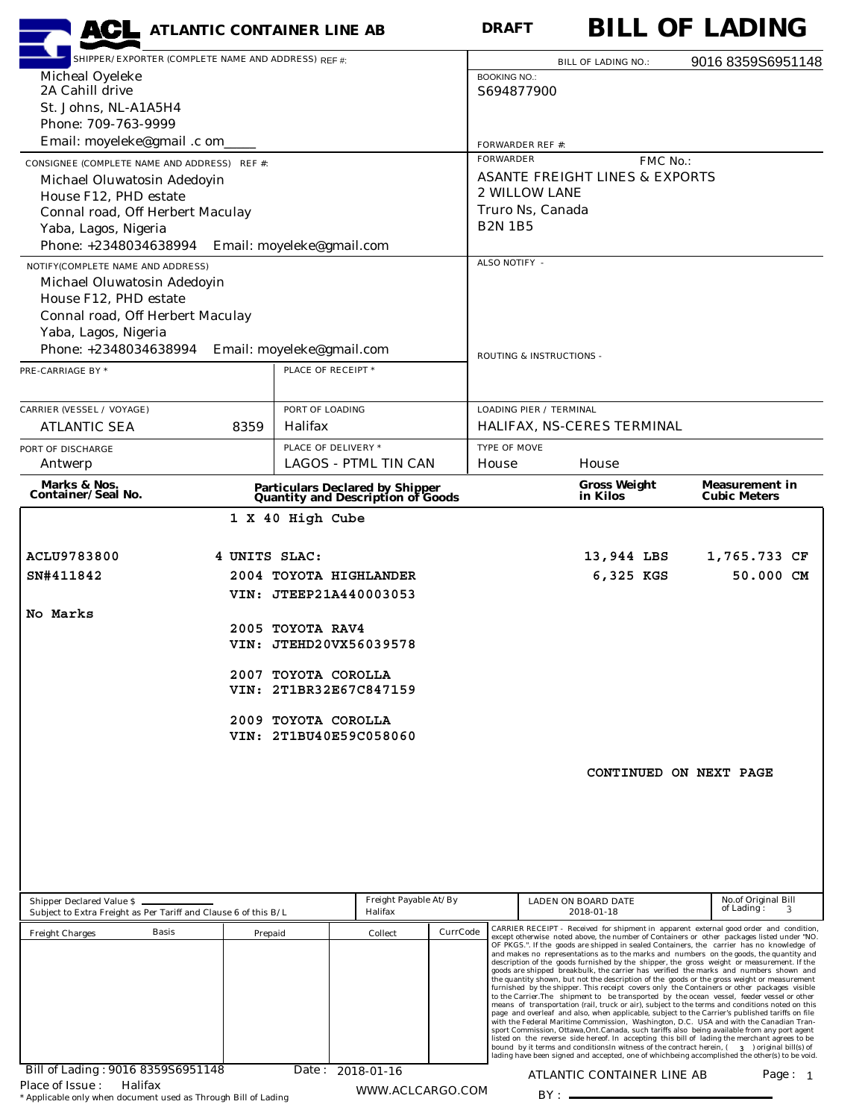| <b>ACL</b> ATLANTIC CONTAINER LINE AB                           |                                               |                                                                                                |                                                                              |          | <b>DRAFT</b>             |                                |                                           |          | <b>BILL OF LADING</b>                                                                                                                                                                                                                                                                        |  |
|-----------------------------------------------------------------|-----------------------------------------------|------------------------------------------------------------------------------------------------|------------------------------------------------------------------------------|----------|--------------------------|--------------------------------|-------------------------------------------|----------|----------------------------------------------------------------------------------------------------------------------------------------------------------------------------------------------------------------------------------------------------------------------------------------------|--|
| SHIPPER/EXPORTER (COMPLETE NAME AND ADDRESS) REF #:             |                                               |                                                                                                |                                                                              |          |                          |                                | <b>BILL OF LADING NO.:</b>                |          | 9016 8359S6951148                                                                                                                                                                                                                                                                            |  |
| Micheal Oyeleke<br>2A Cahill drive                              |                                               |                                                                                                |                                                                              |          | <b>BOOKING NO.:</b>      |                                |                                           |          |                                                                                                                                                                                                                                                                                              |  |
| St. Johns, NL-A1A5H4                                            |                                               |                                                                                                |                                                                              |          | S694877900               |                                |                                           |          |                                                                                                                                                                                                                                                                                              |  |
| Phone: 709-763-9999                                             |                                               |                                                                                                |                                                                              |          |                          |                                |                                           |          |                                                                                                                                                                                                                                                                                              |  |
| Email: moyeleke@gmail.c om                                      |                                               |                                                                                                |                                                                              |          |                          | <b>FORWARDER REF #:</b>        |                                           |          |                                                                                                                                                                                                                                                                                              |  |
| CONSIGNEE (COMPLETE NAME AND ADDRESS) REF #:                    |                                               |                                                                                                |                                                                              |          | <b>FORWARDER</b>         |                                |                                           | FMC No.: |                                                                                                                                                                                                                                                                                              |  |
| Michael Oluwatosin Adedoyin                                     |                                               |                                                                                                |                                                                              |          |                          | <b>2 WILLOW LANE</b>           | <b>ASANTE FREIGHT LINES &amp; EXPORTS</b> |          |                                                                                                                                                                                                                                                                                              |  |
| House F12, PHD estate<br>Connal road, Off Herbert Maculay       |                                               |                                                                                                |                                                                              |          |                          | Truro Ns, Canada               |                                           |          |                                                                                                                                                                                                                                                                                              |  |
| Yaba, Lagos, Nigeria                                            |                                               |                                                                                                |                                                                              |          | <b>B2N 1B5</b>           |                                |                                           |          |                                                                                                                                                                                                                                                                                              |  |
| Phone: +2348034638994                                           |                                               | Email: moyeleke@gmail.com                                                                      |                                                                              |          |                          |                                |                                           |          |                                                                                                                                                                                                                                                                                              |  |
| NOTIFY(COMPLETE NAME AND ADDRESS)                               |                                               |                                                                                                |                                                                              |          | ALSO NOTIFY -            |                                |                                           |          |                                                                                                                                                                                                                                                                                              |  |
| Michael Oluwatosin Adedoyin                                     |                                               |                                                                                                |                                                                              |          |                          |                                |                                           |          |                                                                                                                                                                                                                                                                                              |  |
| House F12, PHD estate<br>Connal road, Off Herbert Maculay       |                                               |                                                                                                |                                                                              |          |                          |                                |                                           |          |                                                                                                                                                                                                                                                                                              |  |
| Yaba, Lagos, Nigeria                                            |                                               |                                                                                                |                                                                              |          |                          |                                |                                           |          |                                                                                                                                                                                                                                                                                              |  |
| Phone: +2348034638994                                           |                                               | Email: moyeleke@gmail.com                                                                      |                                                                              |          | ROUTING & INSTRUCTIONS - |                                |                                           |          |                                                                                                                                                                                                                                                                                              |  |
| PRE-CARRIAGE BY *                                               |                                               | PLACE OF RECEIPT *                                                                             |                                                                              |          |                          |                                |                                           |          |                                                                                                                                                                                                                                                                                              |  |
|                                                                 |                                               |                                                                                                |                                                                              |          |                          |                                |                                           |          |                                                                                                                                                                                                                                                                                              |  |
| <b>CARRIER (VESSEL / VOYAGE)</b>                                |                                               | PORT OF LOADING                                                                                |                                                                              |          |                          | <b>LOADING PIER / TERMINAL</b> |                                           |          |                                                                                                                                                                                                                                                                                              |  |
| <b>ATLANTIC SEA</b>                                             | 8359                                          | Halifax                                                                                        |                                                                              |          |                          |                                | HALIFAX, NS-CERES TERMINAL                |          |                                                                                                                                                                                                                                                                                              |  |
| PORT OF DISCHARGE                                               |                                               | PLACE OF DELIVERY *                                                                            |                                                                              |          | TYPE OF MOVE             |                                |                                           |          |                                                                                                                                                                                                                                                                                              |  |
| Antwerp                                                         |                                               |                                                                                                | <b>LAGOS - PTML TIN CAN</b>                                                  |          | House                    |                                | House                                     |          |                                                                                                                                                                                                                                                                                              |  |
| Marks & Nos.<br>Container/Seal No.                              |                                               |                                                                                                | <b>Particulars Declared by Shipper<br/>Quantity and Description of Goods</b> |          |                          |                                | <b>Gross Weight</b><br>in Kilos           |          | <b>Measurement in</b><br><b>Cubic Meters</b>                                                                                                                                                                                                                                                 |  |
|                                                                 |                                               | 1 X 40 High Cube                                                                               |                                                                              |          |                          |                                |                                           |          |                                                                                                                                                                                                                                                                                              |  |
|                                                                 |                                               |                                                                                                |                                                                              |          |                          |                                |                                           |          |                                                                                                                                                                                                                                                                                              |  |
| ACLU9783800                                                     | 4 UNITS SLAC:                                 |                                                                                                |                                                                              |          |                          |                                | 13,944 LBS                                |          | 1,765.733 CF                                                                                                                                                                                                                                                                                 |  |
| SN#411842                                                       |                                               | 2004 TOYOTA HIGHLANDER<br>VIN: JTEEP21A440003053<br>2005 TOYOTA RAV4<br>VIN: JTEHD20VX56039578 |                                                                              |          |                          |                                | 6,325 KGS                                 |          | 50.000 CM                                                                                                                                                                                                                                                                                    |  |
|                                                                 |                                               |                                                                                                |                                                                              |          |                          |                                |                                           |          |                                                                                                                                                                                                                                                                                              |  |
| No Marks                                                        |                                               |                                                                                                |                                                                              |          |                          |                                |                                           |          |                                                                                                                                                                                                                                                                                              |  |
|                                                                 |                                               |                                                                                                |                                                                              |          |                          |                                |                                           |          |                                                                                                                                                                                                                                                                                              |  |
|                                                                 |                                               | 2007 TOYOTA COROLLA                                                                            |                                                                              |          |                          |                                |                                           |          |                                                                                                                                                                                                                                                                                              |  |
|                                                                 |                                               | VIN: 2T1BR32E67C847159                                                                         |                                                                              |          |                          |                                |                                           |          |                                                                                                                                                                                                                                                                                              |  |
|                                                                 |                                               |                                                                                                |                                                                              |          |                          |                                |                                           |          |                                                                                                                                                                                                                                                                                              |  |
|                                                                 | 2009 TOYOTA COROLLA<br>VIN: 2T1BU40E59C058060 |                                                                                                |                                                                              |          |                          |                                |                                           |          |                                                                                                                                                                                                                                                                                              |  |
|                                                                 |                                               |                                                                                                |                                                                              |          |                          |                                |                                           |          |                                                                                                                                                                                                                                                                                              |  |
|                                                                 |                                               |                                                                                                |                                                                              |          |                          |                                |                                           |          | CONTINUED ON NEXT PAGE                                                                                                                                                                                                                                                                       |  |
|                                                                 |                                               |                                                                                                |                                                                              |          |                          |                                |                                           |          |                                                                                                                                                                                                                                                                                              |  |
|                                                                 |                                               |                                                                                                |                                                                              |          |                          |                                |                                           |          |                                                                                                                                                                                                                                                                                              |  |
|                                                                 |                                               |                                                                                                |                                                                              |          |                          |                                |                                           |          |                                                                                                                                                                                                                                                                                              |  |
|                                                                 |                                               |                                                                                                |                                                                              |          |                          |                                |                                           |          |                                                                                                                                                                                                                                                                                              |  |
|                                                                 |                                               |                                                                                                |                                                                              |          |                          |                                |                                           |          |                                                                                                                                                                                                                                                                                              |  |
| Shipper Declared Value \$                                       |                                               |                                                                                                | Freight Payable At/By                                                        |          |                          |                                | LADEN ON BOARD DATE                       |          | No.of Original Bill                                                                                                                                                                                                                                                                          |  |
| Subject to Extra Freight as Per Tariff and Clause 6 of this B/L |                                               |                                                                                                | Halifax                                                                      |          |                          |                                | 2018-01-18                                |          | of Lading:<br>3                                                                                                                                                                                                                                                                              |  |
| <b>Basis</b><br><b>Freight Charges</b>                          | Prepaid                                       |                                                                                                | Collect                                                                      | CurrCode |                          |                                |                                           |          | CARRIER RECEIPT - Received for shipment in apparent external good order and condition,<br>except otherwise noted above, the number of Containers or other packages listed under "NO.<br>OF PKGS.". If the goods are shipped in sealed Containers, the carrier has no knowledge of            |  |
|                                                                 |                                               |                                                                                                |                                                                              |          |                          |                                |                                           |          | and makes no representations as to the marks and numbers on the goods, the quantity and<br>description of the goods furnished by the shipper, the gross weight or measurement. If the                                                                                                        |  |
|                                                                 |                                               |                                                                                                |                                                                              |          |                          |                                |                                           |          | goods are shipped breakbulk, the carrier has verified the marks and numbers shown and<br>the quantity shown, but not the description of the goods or the gross weight or measurement                                                                                                         |  |
|                                                                 |                                               |                                                                                                |                                                                              |          |                          |                                |                                           |          | furnished by the shipper. This receipt covers only the Containers or other packages visible<br>to the Carrier.The shipment to be transported by the ocean vessel, feeder vessel or other<br>means of transportation (rail, truck or air), subject to the terms and conditions noted on this  |  |
|                                                                 |                                               |                                                                                                |                                                                              |          |                          |                                |                                           |          | page and overleaf and also, when applicable, subject to the Carrier's published tariffs on file<br>with the Federal Maritime Commission, Washington, D.C. USA and with the Canadian Tran-                                                                                                    |  |
|                                                                 |                                               |                                                                                                |                                                                              |          |                          |                                |                                           |          | sport Commission, Ottawa, Ont. Canada, such tariffs also being available from any port agent<br>listed on the reverse side hereof. In accepting this bill of lading the merchant agrees to be<br>bound by it terms and conditions in witness of the contract herein, (3) original bill(s) of |  |
|                                                                 |                                               |                                                                                                |                                                                              |          |                          |                                |                                           |          | lading have been signed and accepted, one of whichbeing accomplished the other(s) to be void.                                                                                                                                                                                                |  |
| Bill of Lading: 9016 8359S6951148<br>Halifax<br>Place of Issue: |                                               |                                                                                                | Date: 2018-01-16                                                             |          |                          |                                | ATLANTIC CONTAINER LINE AB                |          | Page: $1$                                                                                                                                                                                                                                                                                    |  |
| * Applicable only when document used as Through Bill of Lading  |                                               |                                                                                                | WWW.ACLCARGO.COM                                                             |          |                          |                                |                                           |          |                                                                                                                                                                                                                                                                                              |  |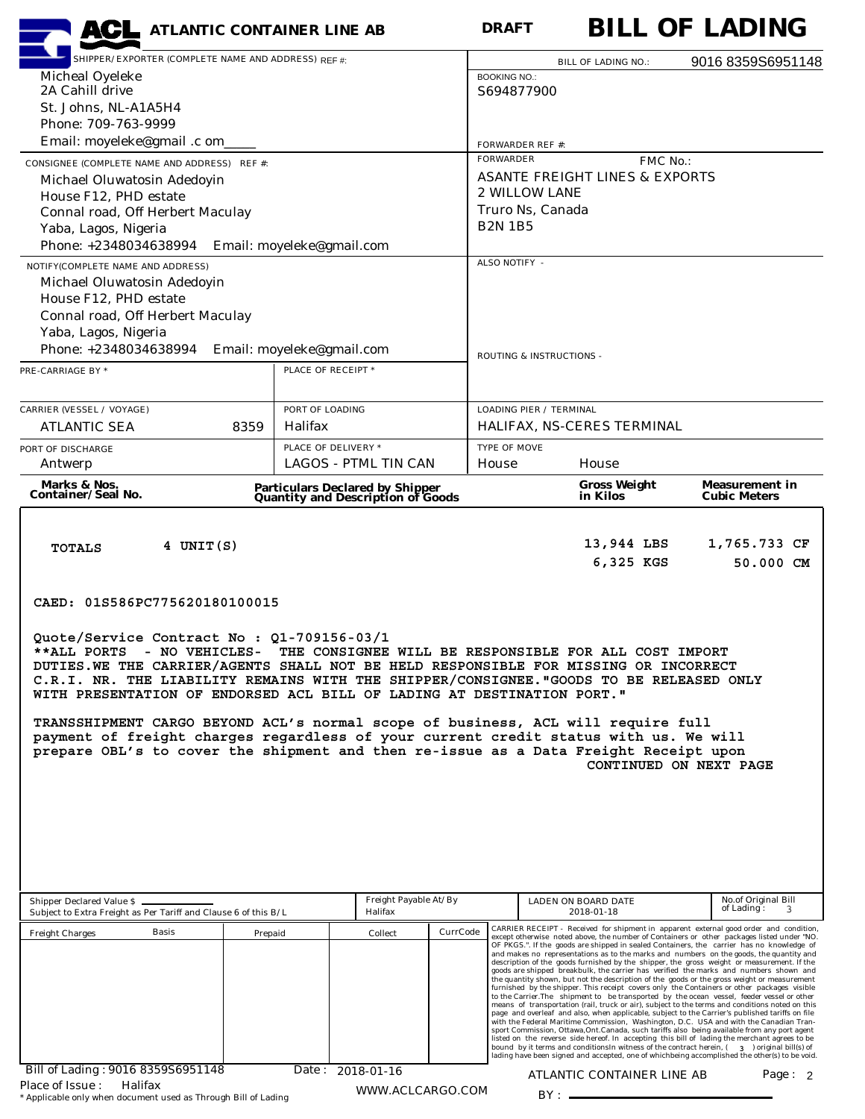| <b>ACL</b> ATLANTIC CONTAINER LINE AB                                                                                                                                                                                                                                                                                                                                                                                                                                                                                                                                                                                                                                                            |                                                 |                                                                              | <b>DRAFT</b>        |                                                                        |                                                       | <b>BILL OF LADING</b>                                                                                                                                                                                                                                                                                                                                                                                                                                                                                                                                                                                                                                                                                                                                                                                                                                                                                                                                                                                                                                                                                                                                                                                                                                                           |           |  |  |
|--------------------------------------------------------------------------------------------------------------------------------------------------------------------------------------------------------------------------------------------------------------------------------------------------------------------------------------------------------------------------------------------------------------------------------------------------------------------------------------------------------------------------------------------------------------------------------------------------------------------------------------------------------------------------------------------------|-------------------------------------------------|------------------------------------------------------------------------------|---------------------|------------------------------------------------------------------------|-------------------------------------------------------|---------------------------------------------------------------------------------------------------------------------------------------------------------------------------------------------------------------------------------------------------------------------------------------------------------------------------------------------------------------------------------------------------------------------------------------------------------------------------------------------------------------------------------------------------------------------------------------------------------------------------------------------------------------------------------------------------------------------------------------------------------------------------------------------------------------------------------------------------------------------------------------------------------------------------------------------------------------------------------------------------------------------------------------------------------------------------------------------------------------------------------------------------------------------------------------------------------------------------------------------------------------------------------|-----------|--|--|
| SHIPPER/EXPORTER (COMPLETE NAME AND ADDRESS) REF #:                                                                                                                                                                                                                                                                                                                                                                                                                                                                                                                                                                                                                                              |                                                 |                                                                              |                     |                                                                        | <b>BILL OF LADING NO.:</b>                            | 9016 8359S6951148                                                                                                                                                                                                                                                                                                                                                                                                                                                                                                                                                                                                                                                                                                                                                                                                                                                                                                                                                                                                                                                                                                                                                                                                                                                               |           |  |  |
| Micheal Oyeleke<br>2A Cahill drive                                                                                                                                                                                                                                                                                                                                                                                                                                                                                                                                                                                                                                                               |                                                 |                                                                              | <b>BOOKING NO.:</b> | S694877900                                                             |                                                       |                                                                                                                                                                                                                                                                                                                                                                                                                                                                                                                                                                                                                                                                                                                                                                                                                                                                                                                                                                                                                                                                                                                                                                                                                                                                                 |           |  |  |
| St. Johns, NL-A1A5H4                                                                                                                                                                                                                                                                                                                                                                                                                                                                                                                                                                                                                                                                             |                                                 |                                                                              |                     |                                                                        |                                                       |                                                                                                                                                                                                                                                                                                                                                                                                                                                                                                                                                                                                                                                                                                                                                                                                                                                                                                                                                                                                                                                                                                                                                                                                                                                                                 |           |  |  |
| Phone: 709-763-9999                                                                                                                                                                                                                                                                                                                                                                                                                                                                                                                                                                                                                                                                              |                                                 |                                                                              |                     |                                                                        |                                                       |                                                                                                                                                                                                                                                                                                                                                                                                                                                                                                                                                                                                                                                                                                                                                                                                                                                                                                                                                                                                                                                                                                                                                                                                                                                                                 |           |  |  |
| Email: moyeleke@gmail .c om_                                                                                                                                                                                                                                                                                                                                                                                                                                                                                                                                                                                                                                                                     |                                                 |                                                                              |                     | <b>FORWARDER REF #:</b>                                                |                                                       |                                                                                                                                                                                                                                                                                                                                                                                                                                                                                                                                                                                                                                                                                                                                                                                                                                                                                                                                                                                                                                                                                                                                                                                                                                                                                 |           |  |  |
| CONSIGNEE (COMPLETE NAME AND ADDRESS) REF #:                                                                                                                                                                                                                                                                                                                                                                                                                                                                                                                                                                                                                                                     |                                                 |                                                                              | <b>FORWARDER</b>    |                                                                        | FMC No.:<br><b>ASANTE FREIGHT LINES &amp; EXPORTS</b> |                                                                                                                                                                                                                                                                                                                                                                                                                                                                                                                                                                                                                                                                                                                                                                                                                                                                                                                                                                                                                                                                                                                                                                                                                                                                                 |           |  |  |
| Michael Oluwatosin Adedoyin<br>House F12, PHD estate                                                                                                                                                                                                                                                                                                                                                                                                                                                                                                                                                                                                                                             |                                                 |                                                                              |                     | <b>2 WILLOW LANE</b>                                                   |                                                       |                                                                                                                                                                                                                                                                                                                                                                                                                                                                                                                                                                                                                                                                                                                                                                                                                                                                                                                                                                                                                                                                                                                                                                                                                                                                                 |           |  |  |
| Connal road, Off Herbert Maculay                                                                                                                                                                                                                                                                                                                                                                                                                                                                                                                                                                                                                                                                 |                                                 |                                                                              |                     | Truro Ns, Canada                                                       |                                                       |                                                                                                                                                                                                                                                                                                                                                                                                                                                                                                                                                                                                                                                                                                                                                                                                                                                                                                                                                                                                                                                                                                                                                                                                                                                                                 |           |  |  |
| Yaba, Lagos, Nigeria                                                                                                                                                                                                                                                                                                                                                                                                                                                                                                                                                                                                                                                                             |                                                 |                                                                              | <b>B2N 1B5</b>      |                                                                        |                                                       |                                                                                                                                                                                                                                                                                                                                                                                                                                                                                                                                                                                                                                                                                                                                                                                                                                                                                                                                                                                                                                                                                                                                                                                                                                                                                 |           |  |  |
| Phone: +2348034638994 Email: moyeleke@gmail.com                                                                                                                                                                                                                                                                                                                                                                                                                                                                                                                                                                                                                                                  |                                                 |                                                                              | ALSO NOTIFY -       |                                                                        |                                                       |                                                                                                                                                                                                                                                                                                                                                                                                                                                                                                                                                                                                                                                                                                                                                                                                                                                                                                                                                                                                                                                                                                                                                                                                                                                                                 |           |  |  |
| NOTIFY(COMPLETE NAME AND ADDRESS)<br>Michael Oluwatosin Adedoyin                                                                                                                                                                                                                                                                                                                                                                                                                                                                                                                                                                                                                                 |                                                 |                                                                              |                     |                                                                        |                                                       |                                                                                                                                                                                                                                                                                                                                                                                                                                                                                                                                                                                                                                                                                                                                                                                                                                                                                                                                                                                                                                                                                                                                                                                                                                                                                 |           |  |  |
| House F12, PHD estate                                                                                                                                                                                                                                                                                                                                                                                                                                                                                                                                                                                                                                                                            |                                                 |                                                                              |                     |                                                                        |                                                       |                                                                                                                                                                                                                                                                                                                                                                                                                                                                                                                                                                                                                                                                                                                                                                                                                                                                                                                                                                                                                                                                                                                                                                                                                                                                                 |           |  |  |
| Connal road, Off Herbert Maculay                                                                                                                                                                                                                                                                                                                                                                                                                                                                                                                                                                                                                                                                 |                                                 |                                                                              |                     |                                                                        |                                                       |                                                                                                                                                                                                                                                                                                                                                                                                                                                                                                                                                                                                                                                                                                                                                                                                                                                                                                                                                                                                                                                                                                                                                                                                                                                                                 |           |  |  |
| Yaba, Lagos, Nigeria<br>Phone: +2348034638994                                                                                                                                                                                                                                                                                                                                                                                                                                                                                                                                                                                                                                                    |                                                 |                                                                              |                     |                                                                        |                                                       |                                                                                                                                                                                                                                                                                                                                                                                                                                                                                                                                                                                                                                                                                                                                                                                                                                                                                                                                                                                                                                                                                                                                                                                                                                                                                 |           |  |  |
| PRE-CARRIAGE BY *                                                                                                                                                                                                                                                                                                                                                                                                                                                                                                                                                                                                                                                                                | Email: moyeleke@gmail.com<br>PLACE OF RECEIPT * |                                                                              |                     | ROUTING & INSTRUCTIONS -                                               |                                                       |                                                                                                                                                                                                                                                                                                                                                                                                                                                                                                                                                                                                                                                                                                                                                                                                                                                                                                                                                                                                                                                                                                                                                                                                                                                                                 |           |  |  |
|                                                                                                                                                                                                                                                                                                                                                                                                                                                                                                                                                                                                                                                                                                  |                                                 |                                                                              |                     |                                                                        |                                                       |                                                                                                                                                                                                                                                                                                                                                                                                                                                                                                                                                                                                                                                                                                                                                                                                                                                                                                                                                                                                                                                                                                                                                                                                                                                                                 |           |  |  |
| <b>CARRIER (VESSEL / VOYAGE)</b>                                                                                                                                                                                                                                                                                                                                                                                                                                                                                                                                                                                                                                                                 | PORT OF LOADING                                 |                                                                              |                     | <b>LOADING PIER / TERMINAL</b>                                         |                                                       |                                                                                                                                                                                                                                                                                                                                                                                                                                                                                                                                                                                                                                                                                                                                                                                                                                                                                                                                                                                                                                                                                                                                                                                                                                                                                 |           |  |  |
| <b>ATLANTIC SEA</b>                                                                                                                                                                                                                                                                                                                                                                                                                                                                                                                                                                                                                                                                              | Halifax<br>8359                                 |                                                                              |                     |                                                                        | HALIFAX, NS-CERES TERMINAL                            |                                                                                                                                                                                                                                                                                                                                                                                                                                                                                                                                                                                                                                                                                                                                                                                                                                                                                                                                                                                                                                                                                                                                                                                                                                                                                 |           |  |  |
| PORT OF DISCHARGE                                                                                                                                                                                                                                                                                                                                                                                                                                                                                                                                                                                                                                                                                | PLACE OF DELIVERY *                             |                                                                              | TYPE OF MOVE        |                                                                        |                                                       |                                                                                                                                                                                                                                                                                                                                                                                                                                                                                                                                                                                                                                                                                                                                                                                                                                                                                                                                                                                                                                                                                                                                                                                                                                                                                 |           |  |  |
| Antwerp                                                                                                                                                                                                                                                                                                                                                                                                                                                                                                                                                                                                                                                                                          |                                                 | <b>LAGOS - PTML TIN CAN</b>                                                  | House               |                                                                        | House                                                 |                                                                                                                                                                                                                                                                                                                                                                                                                                                                                                                                                                                                                                                                                                                                                                                                                                                                                                                                                                                                                                                                                                                                                                                                                                                                                 |           |  |  |
| Marks & Nos.<br>Container/Seal No.                                                                                                                                                                                                                                                                                                                                                                                                                                                                                                                                                                                                                                                               |                                                 | <b>Particulars Declared by Shipper<br/>Quantity and Description of Goods</b> |                     |                                                                        | <b>Gross Weight</b><br>in Kilos                       | <b>Measurement in</b><br><b>Cubic Meters</b>                                                                                                                                                                                                                                                                                                                                                                                                                                                                                                                                                                                                                                                                                                                                                                                                                                                                                                                                                                                                                                                                                                                                                                                                                                    |           |  |  |
| CAED: 01S586PC775620180100015<br>Quote/Service Contract No : Q1-709156-03/1<br>**ALL PORTS - NO VEHICLES- THE CONSIGNEE WILL BE RESPONSIBLE FOR ALL COST IMPORT<br>DUTIES. WE THE CARRIER/AGENTS SHALL NOT BE HELD RESPONSIBLE FOR MISSING OR INCORRECT<br>C.R.I. NR. THE LIABILITY REMAINS WITH THE SHIPPER/CONSIGNEE. "GOODS TO BE RELEASED ONLY<br>WITH PRESENTATION OF ENDORSED ACL BILL OF LADING AT DESTINATION PORT."<br>TRANSSHIPMENT CARGO BEYOND ACL's normal scope of business, ACL will require full<br>payment of freight charges regardless of your current credit status with us. We will<br>prepare OBL's to cover the shipment and then re-issue as a Data Freight Receipt upon |                                                 |                                                                              |                     |                                                                        |                                                       | CONTINUED ON NEXT PAGE                                                                                                                                                                                                                                                                                                                                                                                                                                                                                                                                                                                                                                                                                                                                                                                                                                                                                                                                                                                                                                                                                                                                                                                                                                                          |           |  |  |
| Shipper Declared Value \$<br>Subject to Extra Freight as Per Tariff and Clause 6 of this B/L                                                                                                                                                                                                                                                                                                                                                                                                                                                                                                                                                                                                     | Freight Payable At/By<br>Halifax                |                                                                              |                     | No.of Original Bill<br>LADEN ON BOARD DATE<br>of Lading:<br>2018-01-18 |                                                       |                                                                                                                                                                                                                                                                                                                                                                                                                                                                                                                                                                                                                                                                                                                                                                                                                                                                                                                                                                                                                                                                                                                                                                                                                                                                                 |           |  |  |
| Basis<br><b>Freight Charges</b>                                                                                                                                                                                                                                                                                                                                                                                                                                                                                                                                                                                                                                                                  | Collect<br>Prepaid                              |                                                                              |                     |                                                                        |                                                       | CARRIER RECEIPT - Received for shipment in apparent external good order and condition,<br>except otherwise noted above, the number of Containers or other packages listed under "NO.<br>OF PKGS.". If the goods are shipped in sealed Containers, the carrier has no knowledge of                                                                                                                                                                                                                                                                                                                                                                                                                                                                                                                                                                                                                                                                                                                                                                                                                                                                                                                                                                                               |           |  |  |
| Bill of Lading: 9016 8359S6951148                                                                                                                                                                                                                                                                                                                                                                                                                                                                                                                                                                                                                                                                |                                                 | Date: 2018-01-16                                                             |                     |                                                                        |                                                       | and makes no representations as to the marks and numbers on the goods, the quantity and<br>description of the goods furnished by the shipper, the gross weight or measurement. If the<br>goods are shipped breakbulk, the carrier has verified the marks and numbers shown and<br>the quantity shown, but not the description of the goods or the gross weight or measurement<br>furnished by the shipper. This receipt covers only the Containers or other packages visible<br>to the Carrier.The shipment to be transported by the ocean vessel, feeder vessel or other<br>means of transportation (rail, truck or air), subject to the terms and conditions noted on this<br>page and overleaf and also, when applicable, subject to the Carrier's published tariffs on file<br>with the Federal Maritime Commission, Washington, D.C. USA and with the Canadian Tran-<br>sport Commission, Ottawa, Ont. Canada, such tariffs also being available from any port agent<br>listed on the reverse side hereof. In accepting this bill of lading the merchant agrees to be<br>bound by it terms and conditions<br>In witness of the contract herein, (300) original bill(s) of<br>lading have been signed and accepted, one of whichbeing accomplished the other(s) to be void. |           |  |  |
| Place of Issue:<br>Halifax                                                                                                                                                                                                                                                                                                                                                                                                                                                                                                                                                                                                                                                                       |                                                 |                                                                              |                     |                                                                        | ATLANTIC CONTAINER LINE AB                            |                                                                                                                                                                                                                                                                                                                                                                                                                                                                                                                                                                                                                                                                                                                                                                                                                                                                                                                                                                                                                                                                                                                                                                                                                                                                                 | Page: $2$ |  |  |
| * Applicable only when document used as Through Bill of Lading                                                                                                                                                                                                                                                                                                                                                                                                                                                                                                                                                                                                                                   |                                                 | WWW.ACLCARGO.COM                                                             |                     | $BY:$ —                                                                |                                                       |                                                                                                                                                                                                                                                                                                                                                                                                                                                                                                                                                                                                                                                                                                                                                                                                                                                                                                                                                                                                                                                                                                                                                                                                                                                                                 |           |  |  |